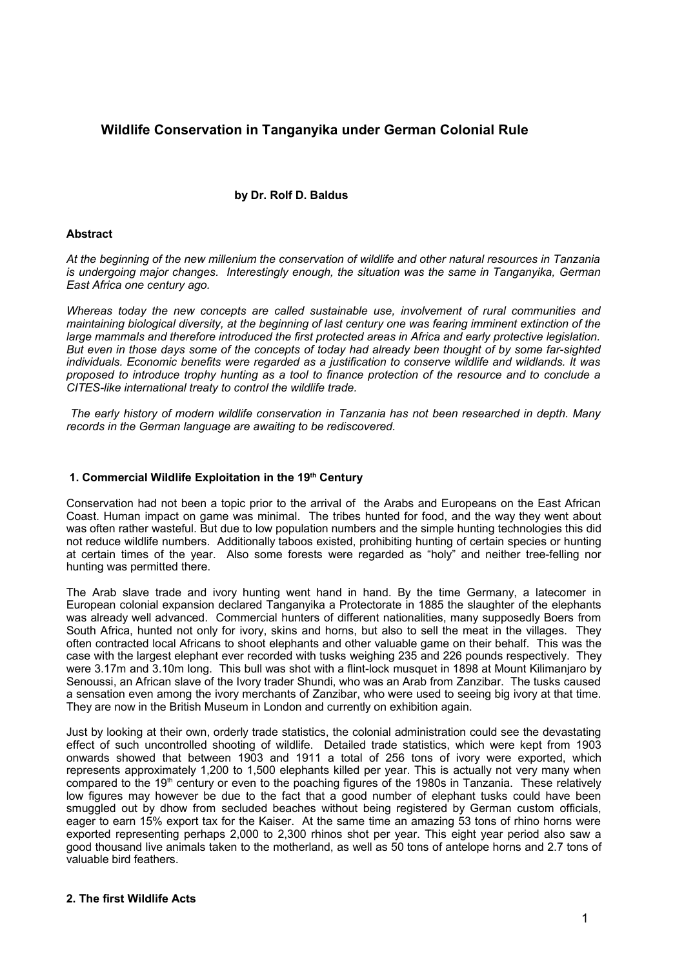# **Wildlife Conservation in Tanganyika under German Colonial Rule**

# **by Dr. Rolf D. Baldus**

### **Abstract**

*At the beginning of the new millenium the conservation of wildlife and other natural resources in Tanzania is undergoing major changes. Interestingly enough, the situation was the same in Tanganyika, German East Africa one century ago.* 

*Whereas today the new concepts are called sustainable use, involvement of rural communities and maintaining biological diversity, at the beginning of last century one was fearing imminent extinction of the large mammals and therefore introduced the first protected areas in Africa and early protective legislation.* But even in those days some of the concepts of today had already been thought of by some far-sighted *individuals. Economic benefits were regarded as a justification to conserve wildlife and wildlands. It was* proposed to introduce trophy hunting as a tool to finance protection of the resource and to conclude a *CITES-like international treaty to control the wildlife trade.*

*The early history of modern wildlife conservation in Tanzania has not been researched in depth. Many records in the German language are awaiting to be rediscovered.* 

#### **1. Commercial Wildlife Exploitation in the 19 th Century**

Conservation had not been a topic prior to the arrival of the Arabs and Europeans on the East African Coast. Human impact on game was minimal. The tribes hunted for food, and the way they went about was often rather wasteful. But due to low population numbers and the simple hunting technologies this did not reduce wildlife numbers. Additionally taboos existed, prohibiting hunting of certain species or hunting at certain times of the year. Also some forests were regarded as "holy" and neither tree-felling nor hunting was permitted there.

The Arab slave trade and ivory hunting went hand in hand. By the time Germany, a latecomer in European colonial expansion declared Tanganyika a Protectorate in 1885 the slaughter of the elephants was already well advanced. Commercial hunters of different nationalities, many supposedly Boers from South Africa, hunted not only for ivory, skins and horns, but also to sell the meat in the villages. They often contracted local Africans to shoot elephants and other valuable game on their behalf. This was the case with the largest elephant ever recorded with tusks weighing 235 and 226 pounds respectively. They were 3.17m and 3.10m long. This bull was shot with a flint-lock musquet in 1898 at Mount Kilimanjaro by Senoussi, an African slave of the Ivory trader Shundi, who was an Arab from Zanzibar. The tusks caused a sensation even among the ivory merchants of Zanzibar, who were used to seeing big ivory at that time. They are now in the British Museum in London and currently on exhibition again.

Just by looking at their own, orderly trade statistics, the colonial administration could see the devastating effect of such uncontrolled shooting of wildlife. Detailed trade statistics, which were kept from 1903 onwards showed that between 1903 and 1911 a total of 256 tons of ivory were exported, which represents approximately 1,200 to 1,500 elephants killed per year. This is actually not very many when compared to the 19<sup>th</sup> century or even to the poaching figures of the 1980s in Tanzania. These relatively low figures may however be due to the fact that a good number of elephant tusks could have been smuggled out by dhow from secluded beaches without being registered by German custom officials, eager to earn 15% export tax for the Kaiser. At the same time an amazing 53 tons of rhino horns were exported representing perhaps 2,000 to 2,300 rhinos shot per year. This eight year period also saw a good thousand live animals taken to the motherland, as well as 50 tons of antelope horns and 2.7 tons of valuable bird feathers.

#### **2. The first Wildlife Acts**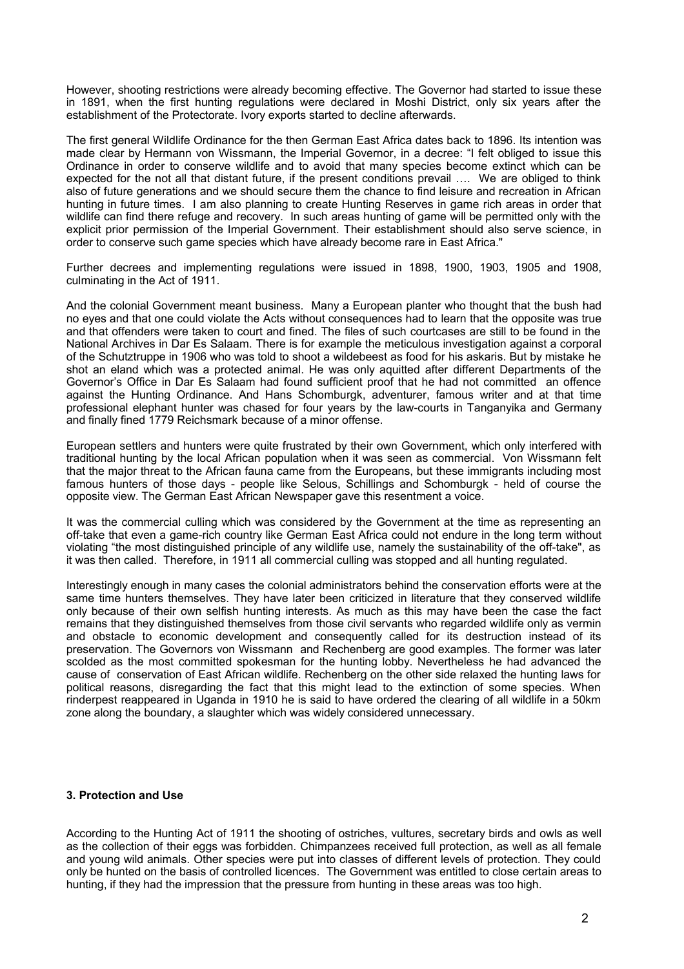However, shooting restrictions were already becoming effective. The Governor had started to issue these in 1891, when the first hunting regulations were declared in Moshi District, only six years after the establishment of the Protectorate. Ivory exports started to decline afterwards.

The first general Wildlife Ordinance for the then German East Africa dates back to 1896. Its intention was made clear by Hermann von Wissmann, the Imperial Governor, in a decree: "I felt obliged to issue this Ordinance in order to conserve wildlife and to avoid that many species become extinct which can be expected for the not all that distant future, if the present conditions prevail …. We are obliged to think also of future generations and we should secure them the chance to find leisure and recreation in African hunting in future times. I am also planning to create Hunting Reserves in game rich areas in order that wildlife can find there refuge and recovery. In such areas hunting of game will be permitted only with the explicit prior permission of the Imperial Government. Their establishment should also serve science, in order to conserve such game species which have already become rare in East Africa."

Further decrees and implementing regulations were issued in 1898, 1900, 1903, 1905 and 1908, culminating in the Act of 1911.

And the colonial Government meant business. Many a European planter who thought that the bush had no eyes and that one could violate the Acts without consequences had to learn that the opposite was true and that offenders were taken to court and fined. The files of such courtcases are still to be found in the National Archives in Dar Es Salaam. There is for example the meticulous investigation against a corporal of the Schutztruppe in 1906 who was told to shoot a wildebeest as food for his askaris. But by mistake he shot an eland which was a protected animal. He was only aquitted after different Departments of the Governor's Office in Dar Es Salaam had found sufficient proof that he had not committed an offence against the Hunting Ordinance. And Hans Schomburgk, adventurer, famous writer and at that time professional elephant hunter was chased for four years by the law-courts in Tanganyika and Germany and finally fined 1779 Reichsmark because of a minor offense.

European settlers and hunters were quite frustrated by their own Government, which only interfered with traditional hunting by the local African population when it was seen as commercial. Von Wissmann felt that the major threat to the African fauna came from the Europeans, but these immigrants including most famous hunters of those days - people like Selous, Schillings and Schomburgk - held of course the opposite view. The German East African Newspaper gave this resentment a voice.

It was the commercial culling which was considered by the Government at the time as representing an off-take that even a game-rich country like German East Africa could not endure in the long term without violating "the most distinguished principle of any wildlife use, namely the sustainability of the off-take", as it was then called. Therefore, in 1911 all commercial culling was stopped and all hunting regulated.

Interestingly enough in many cases the colonial administrators behind the conservation efforts were at the same time hunters themselves. They have later been criticized in literature that they conserved wildlife only because of their own selfish hunting interests. As much as this may have been the case the fact remains that they distinguished themselves from those civil servants who regarded wildlife only as vermin and obstacle to economic development and consequently called for its destruction instead of its preservation. The Governors von Wissmann and Rechenberg are good examples. The former was later scolded as the most committed spokesman for the hunting lobby. Nevertheless he had advanced the cause of conservation of East African wildlife. Rechenberg on the other side relaxed the hunting laws for political reasons, disregarding the fact that this might lead to the extinction of some species. When rinderpest reappeared in Uganda in 1910 he is said to have ordered the clearing of all wildlife in a 50km zone along the boundary, a slaughter which was widely considered unnecessary.

### **3. Protection and Use**

According to the Hunting Act of 1911 the shooting of ostriches, vultures, secretary birds and owls as well as the collection of their eggs was forbidden. Chimpanzees received full protection, as well as all female and young wild animals. Other species were put into classes of different levels of protection. They could only be hunted on the basis of controlled licences. The Government was entitled to close certain areas to hunting, if they had the impression that the pressure from hunting in these areas was too high.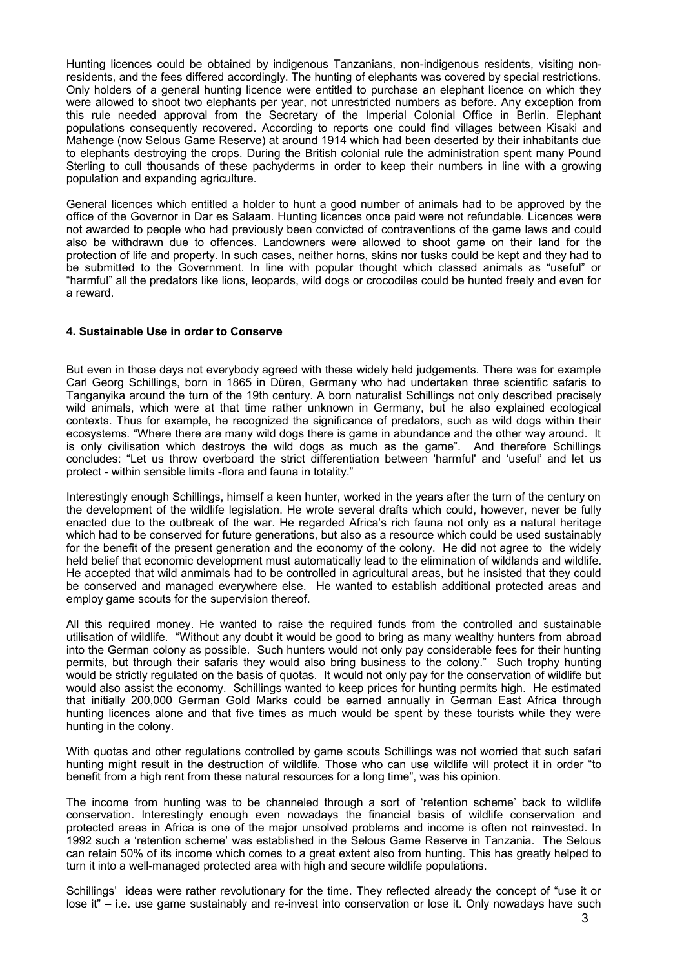Hunting licences could be obtained by indigenous Tanzanians, non-indigenous residents, visiting nonresidents, and the fees differed accordingly. The hunting of elephants was covered by special restrictions. Only holders of a general hunting licence were entitled to purchase an elephant licence on which they were allowed to shoot two elephants per year, not unrestricted numbers as before. Any exception from this rule needed approval from the Secretary of the Imperial Colonial Office in Berlin. Elephant populations consequently recovered. According to reports one could find villages between Kisaki and Mahenge (now Selous Game Reserve) at around 1914 which had been deserted by their inhabitants due to elephants destroying the crops. During the British colonial rule the administration spent many Pound Sterling to cull thousands of these pachyderms in order to keep their numbers in line with a growing population and expanding agriculture.

General licences which entitled a holder to hunt a good number of animals had to be approved by the office of the Governor in Dar es Salaam. Hunting licences once paid were not refundable. Licences were not awarded to people who had previously been convicted of contraventions of the game laws and could also be withdrawn due to offences. Landowners were allowed to shoot game on their land for the protection of life and property. In such cases, neither horns, skins nor tusks could be kept and they had to be submitted to the Government. In line with popular thought which classed animals as "useful" or "harmful" all the predators like lions, leopards, wild dogs or crocodiles could be hunted freely and even for a reward.

# **4. Sustainable Use in order to Conserve**

But even in those days not everybody agreed with these widely held judgements. There was for example Carl Georg Schillings, born in 1865 in Düren, Germany who had undertaken three scientific safaris to Tanganyika around the turn of the 19th century. A born naturalist Schillings not only described precisely wild animals, which were at that time rather unknown in Germany, but he also explained ecological contexts. Thus for example, he recognized the significance of predators, such as wild dogs within their ecosystems. "Where there are many wild dogs there is game in abundance and the other way around. It is only civilisation which destroys the wild dogs as much as the game". And therefore Schillings concludes: "Let us throw overboard the strict differentiation between 'harmful' and 'useful' and let us protect - within sensible limits -flora and fauna in totality."

Interestingly enough Schillings, himself a keen hunter, worked in the years after the turn of the century on the development of the wildlife legislation. He wrote several drafts which could, however, never be fully enacted due to the outbreak of the war. He regarded Africa's rich fauna not only as a natural heritage which had to be conserved for future generations, but also as a resource which could be used sustainably for the benefit of the present generation and the economy of the colony. He did not agree to the widely held belief that economic development must automatically lead to the elimination of wildlands and wildlife. He accepted that wild anmimals had to be controlled in agricultural areas, but he insisted that they could be conserved and managed everywhere else. He wanted to establish additional protected areas and employ game scouts for the supervision thereof.

All this required money. He wanted to raise the required funds from the controlled and sustainable utilisation of wildlife. "Without any doubt it would be good to bring as many wealthy hunters from abroad into the German colony as possible. Such hunters would not only pay considerable fees for their hunting permits, but through their safaris they would also bring business to the colony." Such trophy hunting would be strictly regulated on the basis of quotas. It would not only pay for the conservation of wildlife but would also assist the economy. Schillings wanted to keep prices for hunting permits high. He estimated that initially 200,000 German Gold Marks could be earned annually in German East Africa through hunting licences alone and that five times as much would be spent by these tourists while they were hunting in the colony.

With quotas and other regulations controlled by game scouts Schillings was not worried that such safari hunting might result in the destruction of wildlife. Those who can use wildlife will protect it in order "to benefit from a high rent from these natural resources for a long time", was his opinion.

The income from hunting was to be channeled through a sort of 'retention scheme' back to wildlife conservation. Interestingly enough even nowadays the financial basis of wildlife conservation and protected areas in Africa is one of the major unsolved problems and income is often not reinvested. In 1992 such a 'retention scheme' was established in the Selous Game Reserve in Tanzania. The Selous can retain 50% of its income which comes to a great extent also from hunting. This has greatly helped to turn it into a well-managed protected area with high and secure wildlife populations.

Schillings' ideas were rather revolutionary for the time. They reflected already the concept of "use it or lose it" – i.e. use game sustainably and re-invest into conservation or lose it. Only nowadays have such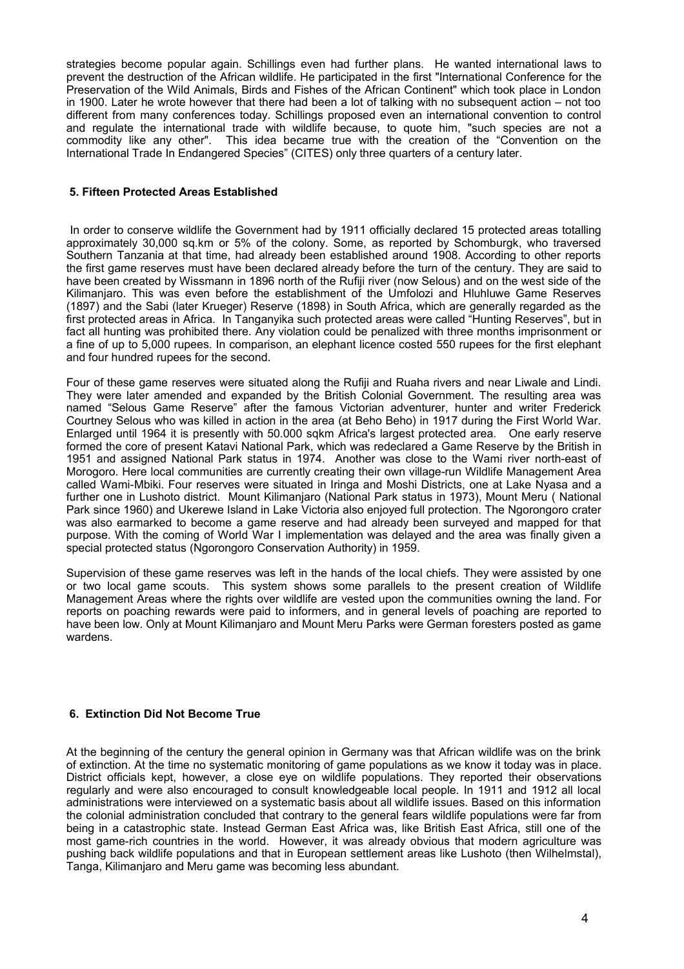strategies become popular again. Schillings even had further plans. He wanted international laws to prevent the destruction of the African wildlife. He participated in the first "International Conference for the Preservation of the Wild Animals, Birds and Fishes of the African Continent" which took place in London in 1900. Later he wrote however that there had been a lot of talking with no subsequent action – not too different from many conferences today. Schillings proposed even an international convention to control and regulate the international trade with wildlife because, to quote him, "such species are not a commodity like any other". This idea became true with the creation of the "Convention on the International Trade In Endangered Species" (CITES) only three quarters of a century later.

# **5. Fifteen Protected Areas Established**

In order to conserve wildlife the Government had by 1911 officially declared 15 protected areas totalling approximately 30,000 sq.km or 5% of the colony. Some, as reported by Schomburgk, who traversed Southern Tanzania at that time, had already been established around 1908. According to other reports the first game reserves must have been declared already before the turn of the century. They are said to have been created by Wissmann in 1896 north of the Rufiji river (now Selous) and on the west side of the Kilimanjaro. This was even before the establishment of the Umfolozi and Hluhluwe Game Reserves (1897) and the Sabi (later Krueger) Reserve (1898) in South Africa, which are generally regarded as the first protected areas in Africa. In Tanganyika such protected areas were called "Hunting Reserves", but in fact all hunting was prohibited there. Any violation could be penalized with three months imprisonment or a fine of up to 5,000 rupees. In comparison, an elephant licence costed 550 rupees for the first elephant and four hundred rupees for the second.

Four of these game reserves were situated along the Rufiji and Ruaha rivers and near Liwale and Lindi. They were later amended and expanded by the British Colonial Government. The resulting area was named "Selous Game Reserve" after the famous Victorian adventurer, hunter and writer Frederick Courtney Selous who was killed in action in the area (at Beho Beho) in 1917 during the First World War. Enlarged until 1964 it is presently with 50.000 sqkm Africa's largest protected area. One early reserve formed the core of present Katavi National Park, which was redeclared a Game Reserve by the British in 1951 and assigned National Park status in 1974. Another was close to the Wami river north-east of Morogoro. Here local communities are currently creating their own village-run Wildlife Management Area called Wami-Mbiki. Four reserves were situated in Iringa and Moshi Districts, one at Lake Nyasa and a further one in Lushoto district. Mount Kilimanjaro (National Park status in 1973), Mount Meru ( National Park since 1960) and Ukerewe Island in Lake Victoria also enjoyed full protection. The Ngorongoro crater was also earmarked to become a game reserve and had already been surveyed and mapped for that purpose. With the coming of World War I implementation was delayed and the area was finally given a special protected status (Ngorongoro Conservation Authority) in 1959.

Supervision of these game reserves was left in the hands of the local chiefs. They were assisted by one or two local game scouts. This system shows some parallels to the present creation of Wildlife Management Areas where the rights over wildlife are vested upon the communities owning the land. For reports on poaching rewards were paid to informers, and in general levels of poaching are reported to have been low. Only at Mount Kilimanjaro and Mount Meru Parks were German foresters posted as game wardens.

# **6. Extinction Did Not Become True**

At the beginning of the century the general opinion in Germany was that African wildlife was on the brink of extinction. At the time no systematic monitoring of game populations as we know it today was in place. District officials kept, however, a close eye on wildlife populations. They reported their observations regularly and were also encouraged to consult knowledgeable local people. In 1911 and 1912 all local administrations were interviewed on a systematic basis about all wildlife issues. Based on this information the colonial administration concluded that contrary to the general fears wildlife populations were far from being in a catastrophic state. Instead German East Africa was, like British East Africa, still one of the most game-rich countries in the world. However, it was already obvious that modern agriculture was pushing back wildlife populations and that in European settlement areas like Lushoto (then Wilhelmstal), Tanga, Kilimanjaro and Meru game was becoming less abundant.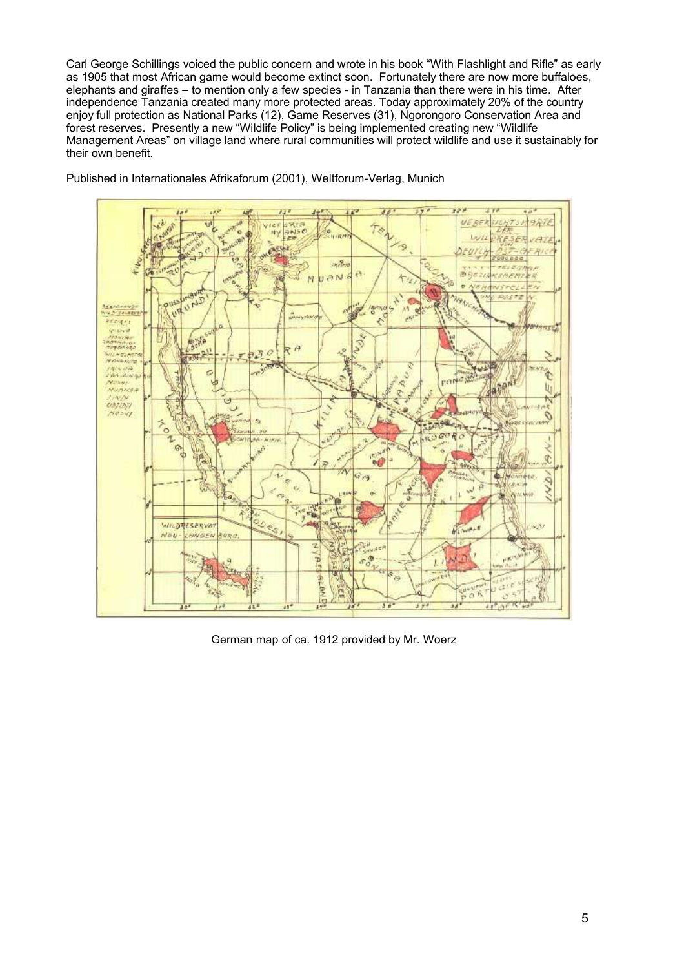Carl George Schillings voiced the public concern and wrote in his book "With Flashlight and Rifle" as early as 1905 that most African game would become extinct soon. Fortunately there are now more buffaloes, elephants and giraffes – to mention only a few species - in Tanzania than there were in his time. After independence Tanzania created many more protected areas. Today approximately 20% of the country enjoy full protection as National Parks (12), Game Reserves (31), Ngorongoro Conservation Area and forest reserves. Presently a new "Wildlife Policy" is being implemented creating new "Wildlife Management Areas" on village land where rural communities will protect wildlife and use it sustainably for their own benefit.



Published in Internationales Afrikaforum (2001), Weltforum-Verlag, Munich

German map of ca. 1912 provided by Mr. Woerz